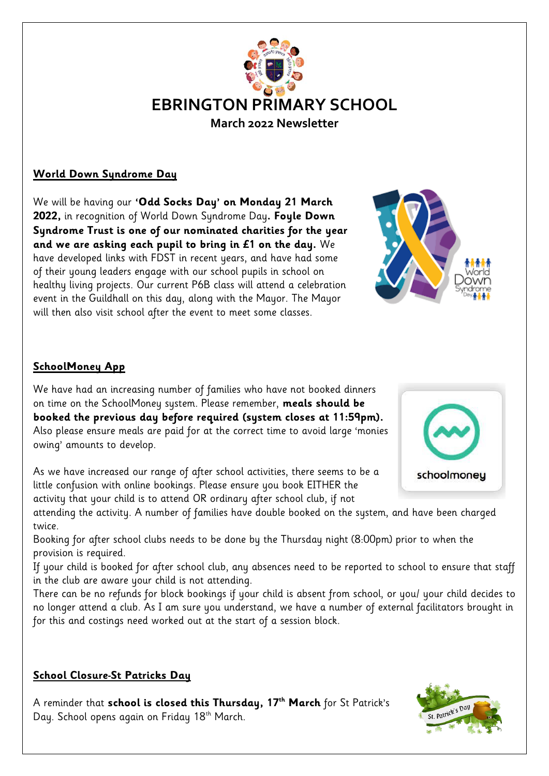

#### **World Down Syndrome Day**

We will be having our **'Odd Socks Day' on Monday 21 March 2022,** in recognition of World Down Syndrome Day**. Foyle Down Syndrome Trust is one of our nominated charities for the year and we are asking each pupil to bring in £1 on the day.** We have developed links with FDST in recent years, and have had some of their young leaders engage with our school pupils in school on healthy living projects. Our current P6B class will attend a celebration event in the Guildhall on this day, along with the Mayor. The Mayor will then also visit school after the event to meet some classes.



### **SchoolMoney App**

We have had an increasing number of families who have not booked dinners on time on the SchoolMoney system. Please remember, **meals should be booked the previous day before required (system closes at 11:59pm).**  Also please ensure meals are paid for at the correct time to avoid large 'monies owing' amounts to develop.

As we have increased our range of after school activities, there seems to be a little confusion with online bookings. Please ensure you book EITHER the activity that your child is to attend OR ordinary after school club, if not

attending the activity. A number of families have double booked on the system, and have been charged twice.

Booking for after school clubs needs to be done by the Thursday night (8:00pm) prior to when the provision is required.

If your child is booked for after school club, any absences need to be reported to school to ensure that staff in the club are aware your child is not attending.

There can be no refunds for block bookings if your child is absent from school, or you/ your child decides to no longer attend a club. As I am sure you understand, we have a number of external facilitators brought in for this and costings need worked out at the start of a session block.

#### **School Closure-St Patricks Day**

A reminder that **school is closed this Thursday, 17th March** for St Patrick's Day. School opens again on Friday 18th March.



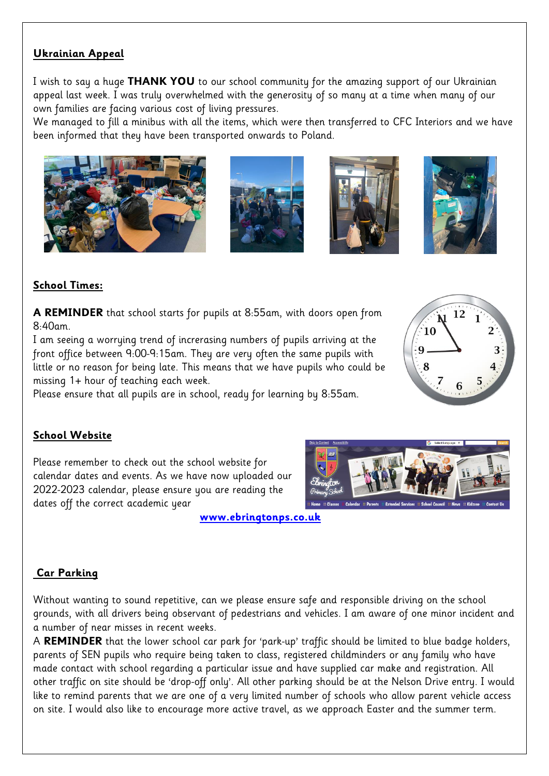### **Ukrainian Appeal**

I wish to say a huge **THANK YOU** to our school community for the amazing support of our Ukrainian appeal last week. I was truly overwhelmed with the generosity of so many at a time when many of our own families are facing various cost of living pressures.

We managed to fill a minibus with all the items, which were then transferred to CFC Interiors and we have been informed that they have been transported onwards to Poland.









## **School Times:**

**A REMINDER** that school starts for pupils at 8:55am, with doors open from 8:40am.

I am seeing a worrying trend of increrasing numbers of pupils arriving at the front office between 9:00-9:15am. They are very often the same pupils with little or no reason for being late. This means that we have pupils who could be missing 1+ hour of teaching each week.

Please ensure that all pupils are in school, ready for learning by 8:55am.

### **School Website**

Please remember to check out the school website for calendar dates and events. As we have now uploaded our 2022-2023 calendar, please ensure you are reading the dates off the correct academic year

#### **[www.ebringtonps.co.uk](http://www.ebringtonps.co.uk/)**

### **Car Parking**

Without wanting to sound repetitive, can we please ensure safe and responsible driving on the school grounds, with all drivers being observant of pedestrians and vehicles. I am aware of one minor incident and a number of near misses in recent weeks.

A **REMINDER** that the lower school car park for 'park-up' traffic should be limited to blue badge holders, parents of SEN pupils who require being taken to class, registered childminders or any family who have made contact with school regarding a particular issue and have supplied car make and registration. All other traffic on site should be 'drop-off only'. All other parking should be at the Nelson Drive entry. I would like to remind parents that we are one of a very limited number of schools who allow parent vehicle access on site. I would also like to encourage more active travel, as we approach Easter and the summer term.